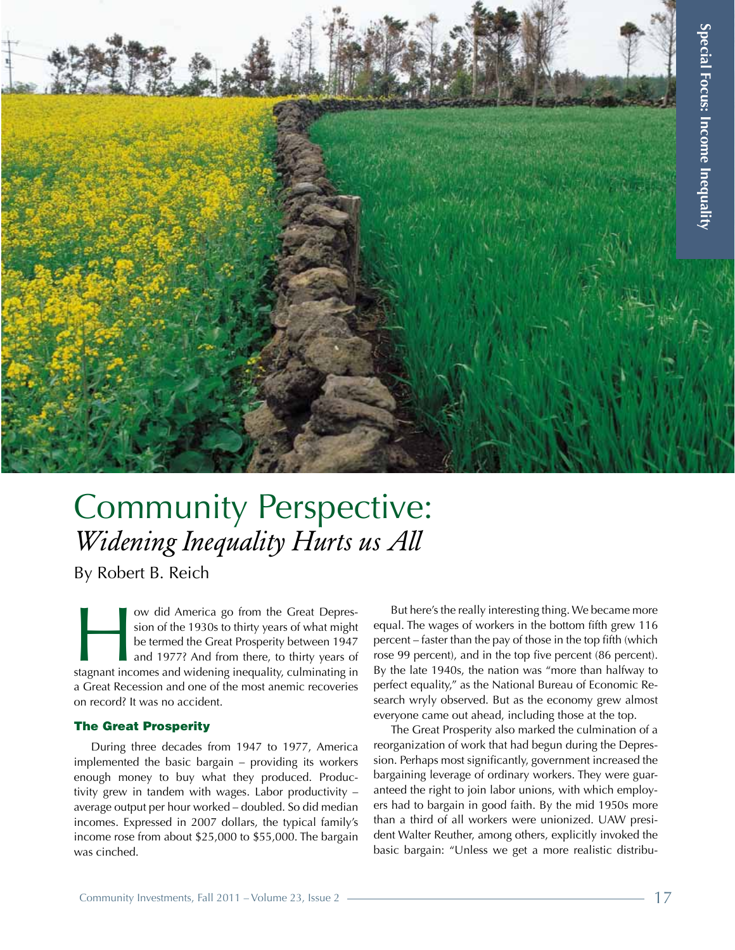

# Community Perspective: *Widening Inequality Hurts us All*

By Robert B. Reich

I ow did America go from the Great Depres-<br>
sion of the 1930s to thirty years of what might<br>
be termed the Great Prosperity between 1947<br>
and 1977? And from there, to thirty years of<br>
stagnant incomes and widening inequali sion of the 1930s to thirty years of what might be termed the Great Prosperity between 1947 and 1977? And from there, to thirty years of a Great Recession and one of the most anemic recoveries on record? It was no accident.

# The Great Prosperity

During three decades from 1947 to 1977, America implemented the basic bargain – providing its workers enough money to buy what they produced. Productivity grew in tandem with wages. Labor productivity – average output per hour worked – doubled. So did median incomes. Expressed in 2007 dollars, the typical family's income rose from about \$25,000 to \$55,000. The bargain was cinched.

But here's the really interesting thing. We became more equal. The wages of workers in the bottom fifth grew 116 percent – faster than the pay of those in the top fifth (which rose 99 percent), and in the top five percent (86 percent). By the late 1940s, the nation was "more than halfway to perfect equality," as the National Bureau of Economic Research wryly observed. But as the economy grew almost everyone came out ahead, including those at the top.

The Great Prosperity also marked the culmination of a reorganization of work that had begun during the Depression. Perhaps most significantly, government increased the bargaining leverage of ordinary workers. They were guaranteed the right to join labor unions, with which employers had to bargain in good faith. By the mid 1950s more than a third of all workers were unionized. UAW president Walter Reuther, among others, explicitly invoked the basic bargain: "Unless we get a more realistic distribu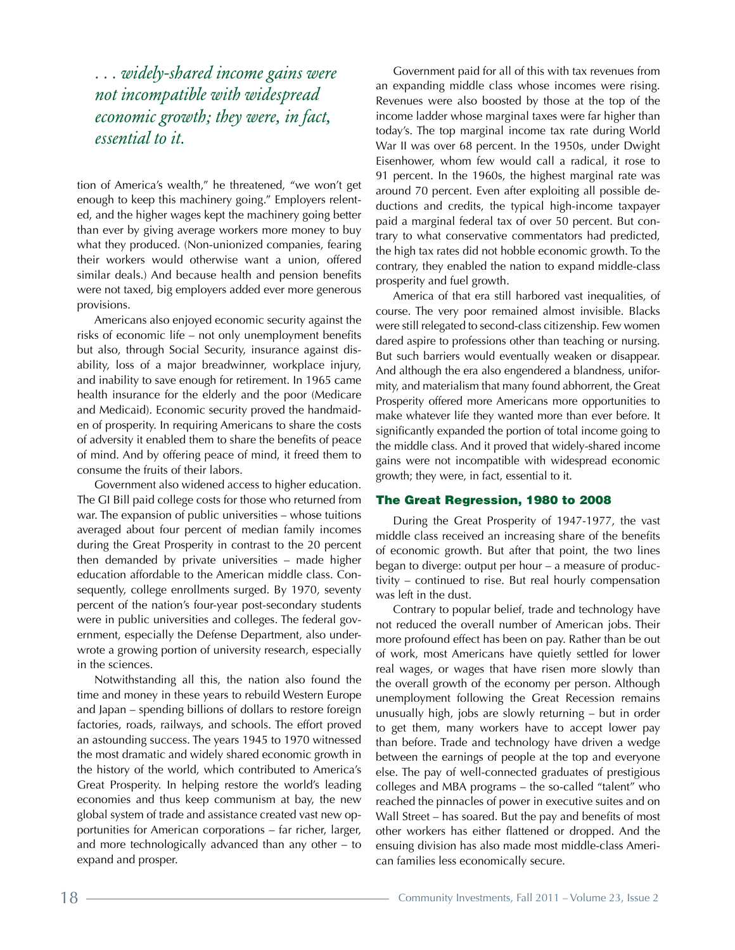*. . . widely-shared income gains were not incompatible with widespread economic growth; they were, in fact, essential to it.* 

tion of America's wealth," he threatened, "we won't get enough to keep this machinery going." Employers relented, and the higher wages kept the machinery going better than ever by giving average workers more money to buy what they produced. (Non-unionized companies, fearing their workers would otherwise want a union, offered similar deals.) And because health and pension benefits were not taxed, big employers added ever more generous provisions.

Americans also enjoyed economic security against the risks of economic life – not only unemployment benefits but also, through Social Security, insurance against disability, loss of a major breadwinner, workplace injury, and inability to save enough for retirement. In 1965 came health insurance for the elderly and the poor (Medicare and Medicaid). Economic security proved the handmaiden of prosperity. In requiring Americans to share the costs of adversity it enabled them to share the benefits of peace of mind. And by offering peace of mind, it freed them to consume the fruits of their labors.

Government also widened access to higher education. The GI Bill paid college costs for those who returned from war. The expansion of public universities – whose tuitions averaged about four percent of median family incomes during the Great Prosperity in contrast to the 20 percent then demanded by private universities – made higher education affordable to the American middle class. Consequently, college enrollments surged. By 1970, seventy percent of the nation's four-year post-secondary students were in public universities and colleges. The federal government, especially the Defense Department, also underwrote a growing portion of university research, especially in the sciences.

Notwithstanding all this, the nation also found the time and money in these years to rebuild Western Europe and Japan – spending billions of dollars to restore foreign factories, roads, railways, and schools. The effort proved an astounding success. The years 1945 to 1970 witnessed the most dramatic and widely shared economic growth in the history of the world, which contributed to America's Great Prosperity. In helping restore the world's leading economies and thus keep communism at bay, the new global system of trade and assistance created vast new opportunities for American corporations – far richer, larger, and more technologically advanced than any other – to expand and prosper.

Government paid for all of this with tax revenues from an expanding middle class whose incomes were rising. Revenues were also boosted by those at the top of the income ladder whose marginal taxes were far higher than today's. The top marginal income tax rate during World War II was over 68 percent. In the 1950s, under Dwight Eisenhower, whom few would call a radical, it rose to 91 percent. In the 1960s, the highest marginal rate was around 70 percent. Even after exploiting all possible deductions and credits, the typical high-income taxpayer paid a marginal federal tax of over 50 percent. But contrary to what conservative commentators had predicted, the high tax rates did not hobble economic growth. To the contrary, they enabled the nation to expand middle-class prosperity and fuel growth.

America of that era still harbored vast inequalities, of course. The very poor remained almost invisible. Blacks were still relegated to second-class citizenship. Few women dared aspire to professions other than teaching or nursing. But such barriers would eventually weaken or disappear. And although the era also engendered a blandness, uniformity, and materialism that many found abhorrent, the Great Prosperity offered more Americans more opportunities to make whatever life they wanted more than ever before. It significantly expanded the portion of total income going to the middle class. And it proved that widely-shared income gains were not incompatible with widespread economic growth; they were, in fact, essential to it.

#### The Great Regression, 1980 to 2008

During the Great Prosperity of 1947-1977, the vast middle class received an increasing share of the benefits of economic growth. But after that point, the two lines began to diverge: output per hour – a measure of productivity – continued to rise. But real hourly compensation was left in the dust.

Contrary to popular belief, trade and technology have not reduced the overall number of American jobs. Their more profound effect has been on pay. Rather than be out of work, most Americans have quietly settled for lower real wages, or wages that have risen more slowly than the overall growth of the economy per person. Although unemployment following the Great Recession remains unusually high, jobs are slowly returning – but in order to get them, many workers have to accept lower pay than before. Trade and technology have driven a wedge between the earnings of people at the top and everyone else. The pay of well-connected graduates of prestigious colleges and MBA programs – the so-called "talent" who reached the pinnacles of power in executive suites and on Wall Street – has soared. But the pay and benefits of most other workers has either flattened or dropped. And the ensuing division has also made most middle-class American families less economically secure.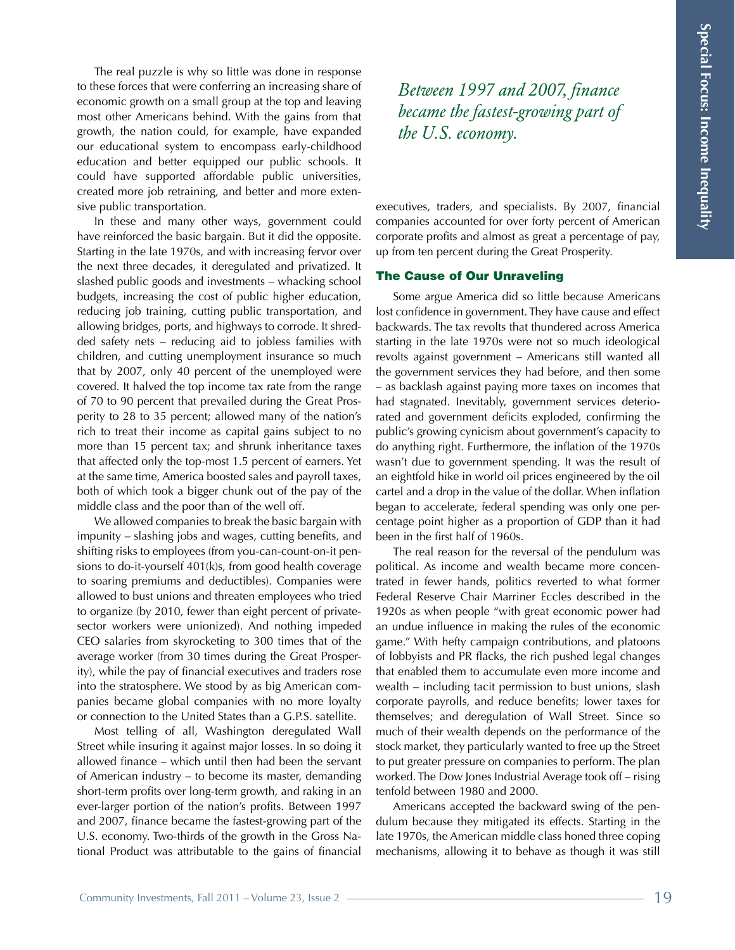The real puzzle is why so little was done in response to these forces that were conferring an increasing share of economic growth on a small group at the top and leaving most other Americans behind. With the gains from that growth, the nation could, for example, have expanded our educational system to encompass early-childhood education and better equipped our public schools. It could have supported affordable public universities, created more job retraining, and better and more extensive public transportation.

In these and many other ways, government could have reinforced the basic bargain. But it did the opposite. Starting in the late 1970s, and with increasing fervor over the next three decades, it deregulated and privatized. It slashed public goods and investments – whacking school budgets, increasing the cost of public higher education, reducing job training, cutting public transportation, and allowing bridges, ports, and highways to corrode. It shredded safety nets – reducing aid to jobless families with children, and cutting unemployment insurance so much that by 2007, only 40 percent of the unemployed were covered. It halved the top income tax rate from the range of 70 to 90 percent that prevailed during the Great Prosperity to 28 to 35 percent; allowed many of the nation's rich to treat their income as capital gains subject to no more than 15 percent tax; and shrunk inheritance taxes that affected only the top-most 1.5 percent of earners. Yet at the same time, America boosted sales and payroll taxes, both of which took a bigger chunk out of the pay of the middle class and the poor than of the well off.

We allowed companies to break the basic bargain with impunity – slashing jobs and wages, cutting benefits, and shifting risks to employees (from you-can-count-on-it pensions to do-it-yourself 401(k)s, from good health coverage to soaring premiums and deductibles). Companies were allowed to bust unions and threaten employees who tried to organize (by 2010, fewer than eight percent of privatesector workers were unionized). And nothing impeded CEO salaries from skyrocketing to 300 times that of the average worker (from 30 times during the Great Prosperity), while the pay of financial executives and traders rose into the stratosphere. We stood by as big American companies became global companies with no more loyalty or connection to the United States than a G.P.S. satellite.

Most telling of all, Washington deregulated Wall Street while insuring it against major losses. In so doing it allowed finance – which until then had been the servant of American industry – to become its master, demanding short-term profits over long-term growth, and raking in an ever-larger portion of the nation's profits. Between 1997 and 2007, finance became the fastest-growing part of the U.S. economy. Two-thirds of the growth in the Gross National Product was attributable to the gains of financial *Between 1997 and 2007, finance became the fastest-growing part of the U.S. economy.*

executives, traders, and specialists. By 2007, financial companies accounted for over forty percent of American corporate profits and almost as great a percentage of pay, up from ten percent during the Great Prosperity.

## The Cause of Our Unraveling

Some argue America did so little because Americans lost confidence in government. They have cause and effect backwards. The tax revolts that thundered across America starting in the late 1970s were not so much ideological revolts against government – Americans still wanted all the government services they had before, and then some – as backlash against paying more taxes on incomes that had stagnated. Inevitably, government services deteriorated and government deficits exploded, confirming the public's growing cynicism about government's capacity to do anything right. Furthermore, the inflation of the 1970s wasn't due to government spending. It was the result of an eightfold hike in world oil prices engineered by the oil cartel and a drop in the value of the dollar. When inflation began to accelerate, federal spending was only one percentage point higher as a proportion of GDP than it had been in the first half of 1960s.

The real reason for the reversal of the pendulum was political. As income and wealth became more concentrated in fewer hands, politics reverted to what former Federal Reserve Chair Marriner Eccles described in the 1920s as when people "with great economic power had an undue influence in making the rules of the economic game." With hefty campaign contributions, and platoons of lobbyists and PR flacks, the rich pushed legal changes that enabled them to accumulate even more income and wealth – including tacit permission to bust unions, slash corporate payrolls, and reduce benefits; lower taxes for themselves; and deregulation of Wall Street. Since so much of their wealth depends on the performance of the stock market, they particularly wanted to free up the Street to put greater pressure on companies to perform. The plan worked. The Dow Jones Industrial Average took off – rising tenfold between 1980 and 2000.

Americans accepted the backward swing of the pendulum because they mitigated its effects. Starting in the late 1970s, the American middle class honed three coping mechanisms, allowing it to behave as though it was still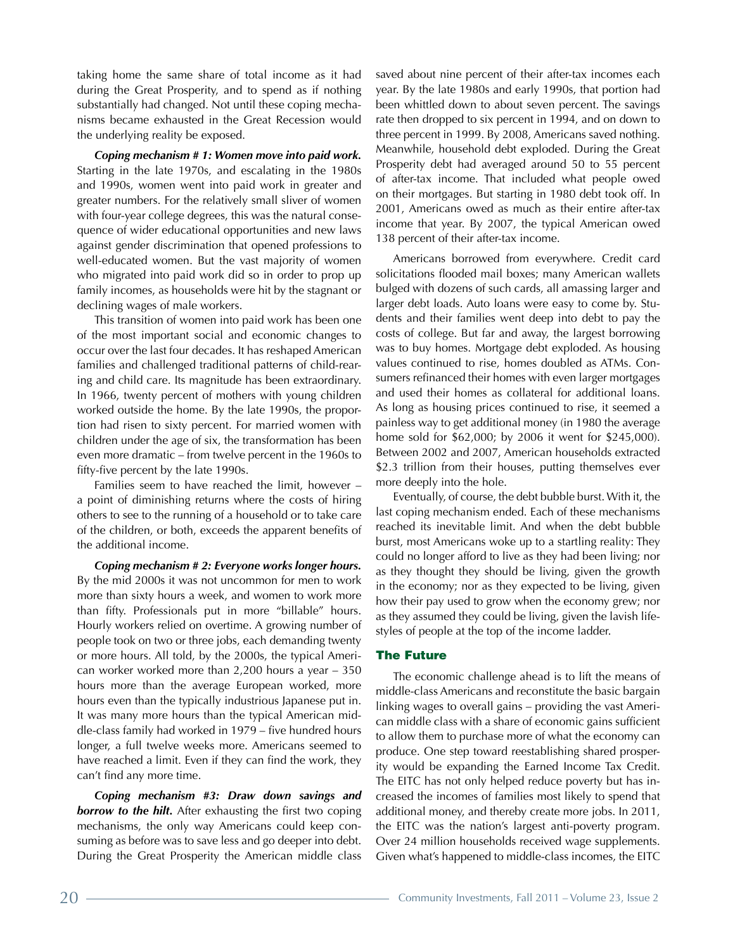taking home the same share of total income as it had during the Great Prosperity, and to spend as if nothing substantially had changed. Not until these coping mechanisms became exhausted in the Great Recession would the underlying reality be exposed.

*Coping mechanism # 1: Women move into paid work.*  Starting in the late 1970s, and escalating in the 1980s and 1990s, women went into paid work in greater and greater numbers. For the relatively small sliver of women with four-year college degrees, this was the natural consequence of wider educational opportunities and new laws against gender discrimination that opened professions to well-educated women. But the vast majority of women who migrated into paid work did so in order to prop up family incomes, as households were hit by the stagnant or declining wages of male workers.

This transition of women into paid work has been one of the most important social and economic changes to occur over the last four decades. It has reshaped American families and challenged traditional patterns of child-rearing and child care. Its magnitude has been extraordinary. In 1966, twenty percent of mothers with young children worked outside the home. By the late 1990s, the proportion had risen to sixty percent. For married women with children under the age of six, the transformation has been even more dramatic – from twelve percent in the 1960s to fifty-five percent by the late 1990s.

Families seem to have reached the limit, however – a point of diminishing returns where the costs of hiring others to see to the running of a household or to take care of the children, or both, exceeds the apparent benefits of the additional income.

*Coping mechanism # 2: Everyone works longer hours.*  By the mid 2000s it was not uncommon for men to work more than sixty hours a week, and women to work more than fifty. Professionals put in more "billable" hours. Hourly workers relied on overtime. A growing number of people took on two or three jobs, each demanding twenty or more hours. All told, by the 2000s, the typical American worker worked more than 2,200 hours a year – 350 hours more than the average European worked, more hours even than the typically industrious Japanese put in. It was many more hours than the typical American middle-class family had worked in 1979 – five hundred hours longer, a full twelve weeks more. Americans seemed to have reached a limit. Even if they can find the work, they can't find any more time.

*Coping mechanism #3: Draw down savings and borrow to the hilt.* After exhausting the first two coping mechanisms, the only way Americans could keep consuming as before was to save less and go deeper into debt. During the Great Prosperity the American middle class saved about nine percent of their after-tax incomes each year. By the late 1980s and early 1990s, that portion had been whittled down to about seven percent. The savings rate then dropped to six percent in 1994, and on down to three percent in 1999. By 2008, Americans saved nothing. Meanwhile, household debt exploded. During the Great Prosperity debt had averaged around 50 to 55 percent of after-tax income. That included what people owed on their mortgages. But starting in 1980 debt took off. In 2001, Americans owed as much as their entire after-tax income that year. By 2007, the typical American owed 138 percent of their after-tax income.

Americans borrowed from everywhere. Credit card solicitations flooded mail boxes; many American wallets bulged with dozens of such cards, all amassing larger and larger debt loads. Auto loans were easy to come by. Students and their families went deep into debt to pay the costs of college. But far and away, the largest borrowing was to buy homes. Mortgage debt exploded. As housing values continued to rise, homes doubled as ATMs. Consumers refinanced their homes with even larger mortgages and used their homes as collateral for additional loans. As long as housing prices continued to rise, it seemed a painless way to get additional money (in 1980 the average home sold for \$62,000; by 2006 it went for \$245,000). Between 2002 and 2007, American households extracted \$2.3 trillion from their houses, putting themselves ever more deeply into the hole.

Eventually, of course, the debt bubble burst. With it, the last coping mechanism ended. Each of these mechanisms reached its inevitable limit. And when the debt bubble burst, most Americans woke up to a startling reality: They could no longer afford to live as they had been living; nor as they thought they should be living, given the growth in the economy; nor as they expected to be living, given how their pay used to grow when the economy grew; nor as they assumed they could be living, given the lavish lifestyles of people at the top of the income ladder.

## The Future

The economic challenge ahead is to lift the means of middle-class Americans and reconstitute the basic bargain linking wages to overall gains – providing the vast American middle class with a share of economic gains sufficient to allow them to purchase more of what the economy can produce. One step toward reestablishing shared prosperity would be expanding the Earned Income Tax Credit. The EITC has not only helped reduce poverty but has increased the incomes of families most likely to spend that additional money, and thereby create more jobs. In 2011, the EITC was the nation's largest anti-poverty program. Over 24 million households received wage supplements. Given what's happened to middle-class incomes, the EITC